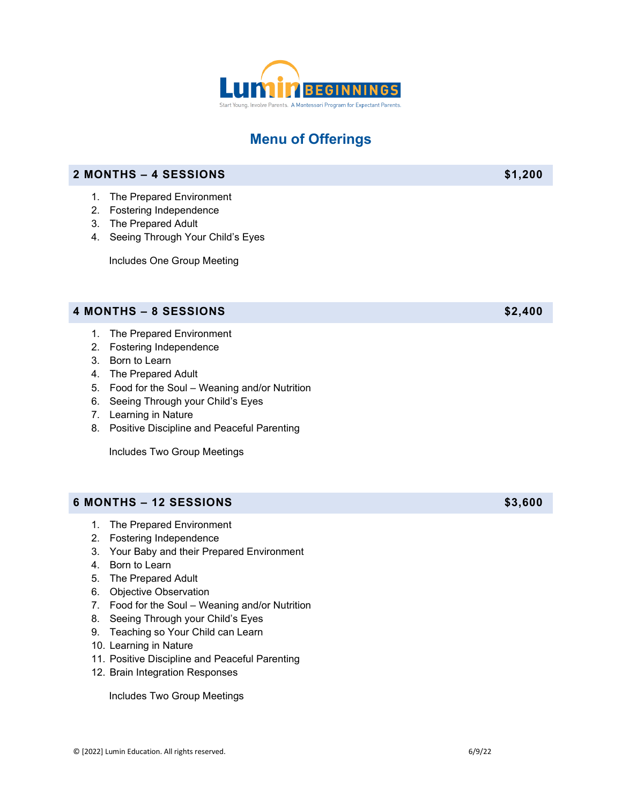

## **Menu of Offerings**

## **2 MONTHS – 4 SESSIONS \$1,200**

- 1. The Prepared Environment
- 2. Fostering Independence
- 3. The Prepared Adult
- 4. Seeing Through Your Child's Eyes

Includes One Group Meeting

#### **4 MONTHS – 8 SESSIONS \$2,400**

- 1. The Prepared Environment
- 2. Fostering Independence
- 3. Born to Learn
- 4. The Prepared Adult
- 5. Food for the Soul Weaning and/or Nutrition
- 6. Seeing Through your Child's Eyes
- 7. Learning in Nature
- 8. Positive Discipline and Peaceful Parenting

Includes Two Group Meetings

### **6 MONTHS – 12 SESSIONS \$3,600**

- 1. The Prepared Environment
- 2. Fostering Independence
- 3. Your Baby and their Prepared Environment
- 4. Born to Learn
- 5. The Prepared Adult
- 6. Objective Observation
- 7. Food for the Soul Weaning and/or Nutrition
- 8. Seeing Through your Child's Eyes
- 9. Teaching so Your Child can Learn
- 10. Learning in Nature
- 11. Positive Discipline and Peaceful Parenting
- 12. Brain Integration Responses

Includes Two Group Meetings